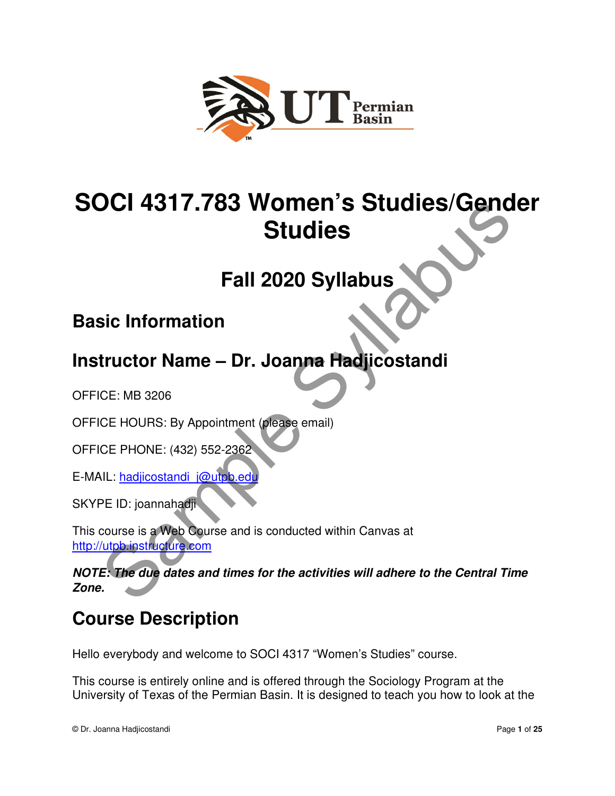

# **SOCI 4317.783 Women's Studies/Gender Studies**  Studies<br>
Fall 2020 Syllabus<br>
Fall 2020 Syllabus<br>
sic Information<br>
tructor Name – Dr. Joanna Hadjicostandi<br>
CE: MB 3206<br>
CE HOURS: By Appointment (please email)<br>
CE PHONE: (432) 552-2362<br>
NL: hadjicostandi i@ums.edu<br>
PE ID:

# **Fall 2020 Syllabus**

# **Basic Information**

# **Instructor Name – Dr. Joanna Hadjicostandi**

OFFICE: MB 3206

OFFICE HOURS: By Appointment (please email)

OFFICE PHONE: (432) 552-2362

E-MAIL: hadjicostandi\_j@utpb.ed

SKYPE ID: joannahadji

This course is a Web Course and is conducted within Canvas at http://utpb.instructure.com

**NOTE: The due dates and times for the activities will adhere to the Central Time Zone.**

# **Course Description**

Hello everybody and welcome to SOCI 4317 "Women's Studies" course.

This course is entirely online and is offered through the Sociology Program at the University of Texas of the Permian Basin. It is designed to teach you how to look at the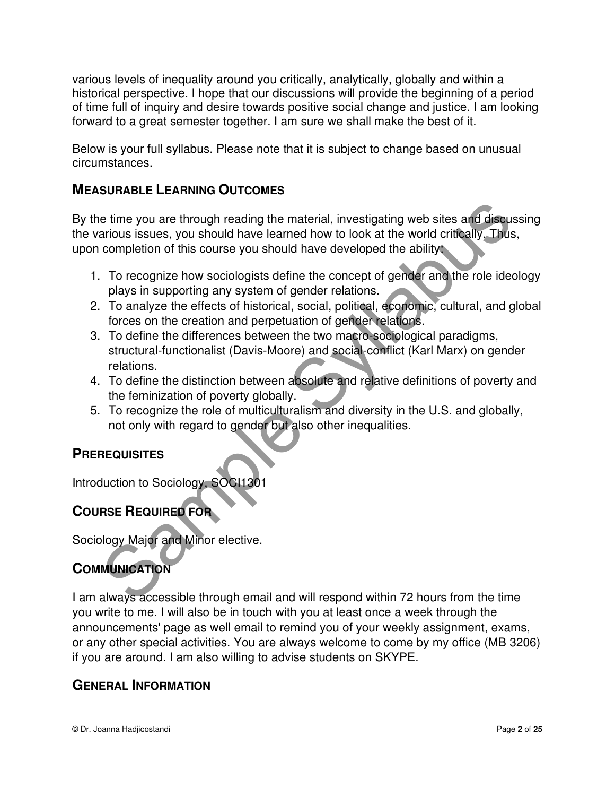various levels of inequality around you critically, analytically, globally and within a historical perspective. I hope that our discussions will provide the beginning of a period of time full of inquiry and desire towards positive social change and justice. I am looking forward to a great semester together. I am sure we shall make the best of it.

Below is your full syllabus. Please note that it is subject to change based on unusual circumstances.

## **MEASURABLE LEARNING OUTCOMES**

By the time you are through reading the material, investigating web sites and discussing the various issues, you should have learned how to look at the world critically. Thus, upon completion of this course you should have developed the ability:

- 1. To recognize how sociologists define the concept of gender and the role ideology plays in supporting any system of gender relations.
- 2. To analyze the effects of historical, social, political, economic, cultural, and global forces on the creation and perpetuation of gender relations.
- 3. To define the differences between the two macro-sociological paradigms, structural-functionalist (Davis-Moore) and social-conflict (Karl Marx) on gender relations. e time you are through reading the material, investigating web sites and discursions issues, you should have learned how to look at the world critically. Thus<br>acrows issues, you should have learned how to look at the world
- 4. To define the distinction between absolute and relative definitions of poverty and the feminization of poverty globally.
- 5. To recognize the role of multiculturalism and diversity in the U.S. and globally, not only with regard to gender but also other inequalities.

## **PREREQUISITES**

Introduction to Sociology, SOCI1301

# **COURSE REQUIRED FOR**

Sociology Major and Minor elective.

# **COMMUNICATION**

I am always accessible through email and will respond within 72 hours from the time you write to me. I will also be in touch with you at least once a week through the announcements' page as well email to remind you of your weekly assignment, exams, or any other special activities. You are always welcome to come by my office (MB 3206) if you are around. I am also willing to advise students on SKYPE.

#### **GENERAL INFORMATION**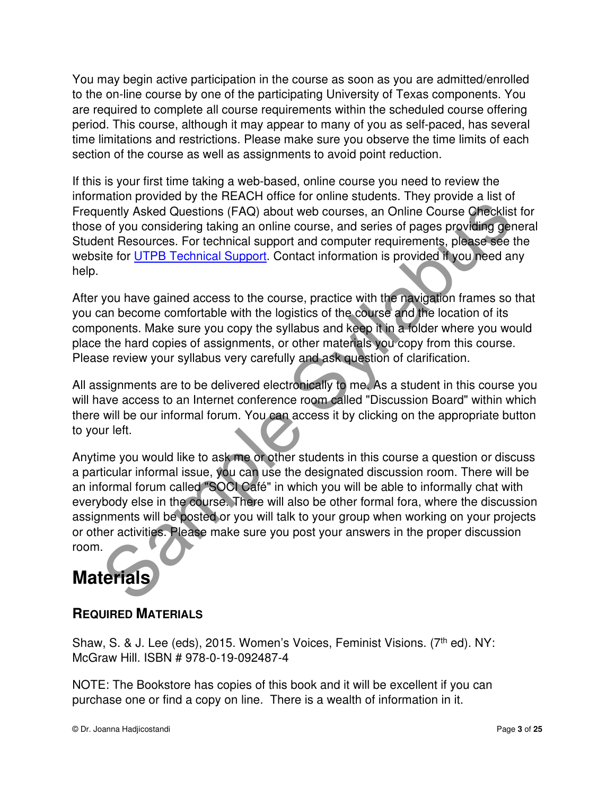You may begin active participation in the course as soon as you are admitted/enrolled to the on-line course by one of the participating University of Texas components. You are required to complete all course requirements within the scheduled course offering period. This course, although it may appear to many of you as self-paced, has several time limitations and restrictions. Please make sure you observe the time limits of each section of the course as well as assignments to avoid point reduction.

If this is your first time taking a web-based, online course you need to review the information provided by the REACH office for online students. They provide a list of Frequently Asked Questions (FAQ) about web courses, an Online Course Checklist for those of you considering taking an online course, and series of pages providing general Student Resources. For technical support and computer requirements, please see the website for UTPB Technical Support. Contact information is provided if you need any help.

After you have gained access to the course, practice with the navigation frames so that you can become comfortable with the logistics of the course and the location of its components. Make sure you copy the syllabus and keep it in a folder where you would place the hard copies of assignments, or other materials you copy from this course. Please review your syllabus very carefully and ask question of clarification.

All assignments are to be delivered electronically to me. As a student in this course you will have access to an Internet conference room called "Discussion Board" within which there will be our informal forum. You can access it by clicking on the appropriate button to your left.

Anytime you would like to ask me or other students in this course a question or discuss a particular informal issue, you can use the designated discussion room. There will be an informal forum called "SOCI Café" in which you will be able to informally chat with everybody else in the course. There will also be other formal fora, where the discussion assignments will be posted or you will talk to your group when working on your projects or other activities. Please make sure you post your answers in the proper discussion room. mentive Asked Questions (FAQ) about web courses, an Online Course Checklisters of you considering taking an online course, an Online Course Checklist of you considering taking an online course, and series of pages providin

# **Materials**

# **REQUIRED MATERIALS**

Shaw, S. & J. Lee (eds), 2015. Women's Voices, Feminist Visions. (7<sup>th</sup> ed). NY: McGraw Hill. ISBN # 978-0-19-092487-4

NOTE: The Bookstore has copies of this book and it will be excellent if you can purchase one or find a copy on line. There is a wealth of information in it.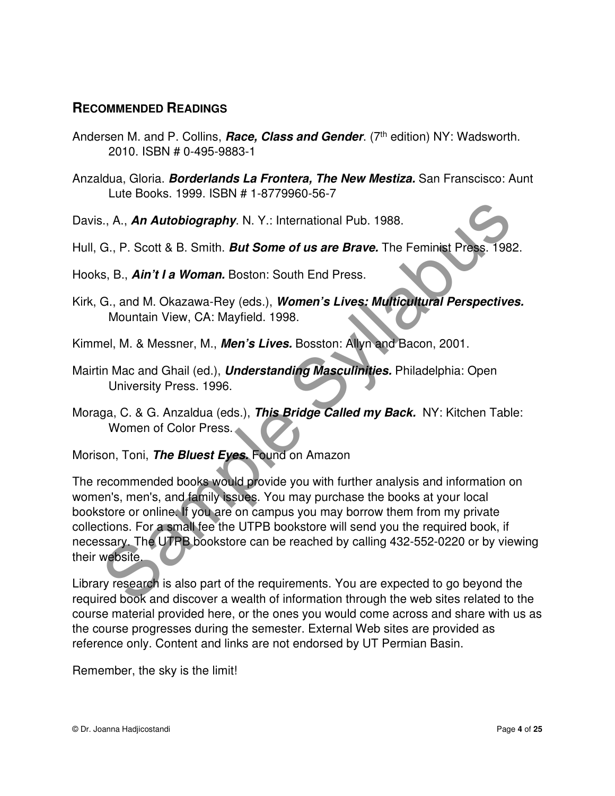#### **RECOMMENDED READINGS**

- Andersen M. and P. Collins, **Race, Class and Gender**. (7<sup>th</sup> edition) NY: Wadsworth. 2010. ISBN # 0-495-9883-1
- Anzaldua, Gloria. **Borderlands La Frontera, The New Mestiza.** San Franscisco: Aunt Lute Books. 1999. ISBN # 1-8779960-56-7

Davis., A., **An Autobiography**. N. Y.: International Pub. 1988.

- Hull, G., P. Scott & B. Smith. **But Some of us are Brave.** The Feminist Press. 1982.
- Hooks, B., **Ain't I a Woman.** Boston: South End Press.
- Kirk, G., and M. Okazawa-Rey (eds.), **Women's Lives: Multicultural Perspectives.** Mountain View, CA: Mayfield. 1998.
- Kimmel, M. & Messner, M., **Men's Lives.** Bosston: Allyn and Bacon, 2001.
- Mairtin Mac and Ghail (ed.), **Understanding Masculinities.** Philadelphia: Open University Press. 1996.
- Moraga, C. & G. Anzaldua (eds.), **This Bridge Called my Back.** NY: Kitchen Table: Women of Color Press.

Morison, Toni, **The Bluest Eyes.** Found on Amazon

The recommended books would provide you with further analysis and information on women's, men's, and family issues. You may purchase the books at your local bookstore or online. If you are on campus you may borrow them from my private collections. For a small fee the UTPB bookstore will send you the required book, if necessary. The UTPB bookstore can be reached by calling 432-552-0220 or by viewing their website. S., A., **An Autobiography**. N. Y.: International Pub. 1988.<br>
G., P. Scott & B. Smith. *But Some of us are Brave.* The Feminist Press. 198.<br>
s. B., *Ain't I a Woman.* Boston: South End Press.<br>
G., and M. Okazawa-Rey (eds.),

Library research is also part of the requirements. You are expected to go beyond the required book and discover a wealth of information through the web sites related to the course material provided here, or the ones you would come across and share with us as the course progresses during the semester. External Web sites are provided as reference only. Content and links are not endorsed by UT Permian Basin.

Remember, the sky is the limit!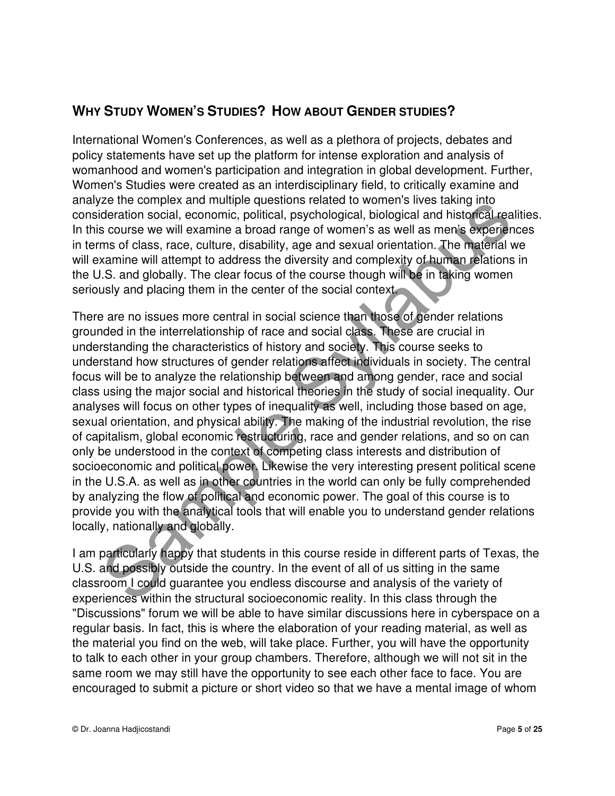# **WHY STUDY WOMEN'S STUDIES? HOW ABOUT GENDER STUDIES?**

International Women's Conferences, as well as a plethora of projects, debates and policy statements have set up the platform for intense exploration and analysis of womanhood and women's participation and integration in global development. Further, Women's Studies were created as an interdisciplinary field, to critically examine and analyze the complex and multiple questions related to women's lives taking into consideration social, economic, political, psychological, biological and historical realities. In this course we will examine a broad range of women's as well as men's experiences in terms of class, race, culture, disability, age and sexual orientation. The material we will examine will attempt to address the diversity and complexity of human relations in the U.S. and globally. The clear focus of the course though will be in taking women seriously and placing them in the center of the social context.

There are no issues more central in social science than those of gender relations grounded in the interrelationship of race and social class. These are crucial in understanding the characteristics of history and society. This course seeks to understand how structures of gender relations affect individuals in society. The central focus will be to analyze the relationship between and among gender, race and social class using the major social and historical theories in the study of social inequality. Our analyses will focus on other types of inequality as well, including those based on age, sexual orientation, and physical ability. The making of the industrial revolution, the rise of capitalism, global economic restructuring, race and gender relations, and so on can only be understood in the context of competing class interests and distribution of socioeconomic and political power. Likewise the very interesting present political scene in the U.S.A. as well as in other countries in the world can only be fully comprehended by analyzing the flow of political and economic power. The goal of this course is to provide you with the analytical tools that will enable you to understand gender relations locally, nationally and globally. Eve in complex and intuinge questions is elated to worlients and the season are control. Bedeviation social, economic, political, psychological, biological and historical reas course we will examine a broad range of women'

I am particularly happy that students in this course reside in different parts of Texas, the U.S. and possibly outside the country. In the event of all of us sitting in the same classroom I could guarantee you endless discourse and analysis of the variety of experiences within the structural socioeconomic reality. In this class through the "Discussions" forum we will be able to have similar discussions here in cyberspace on a regular basis. In fact, this is where the elaboration of your reading material, as well as the material you find on the web, will take place. Further, you will have the opportunity to talk to each other in your group chambers. Therefore, although we will not sit in the same room we may still have the opportunity to see each other face to face. You are encouraged to submit a picture or short video so that we have a mental image of whom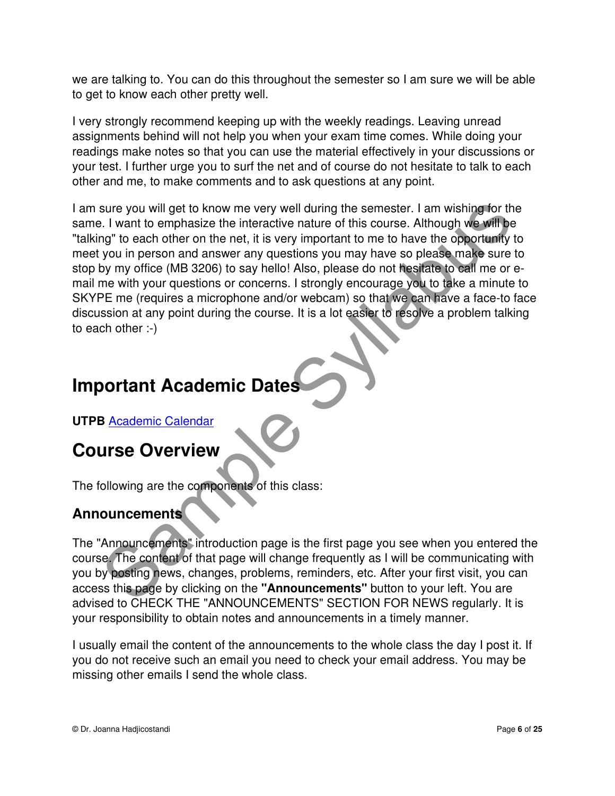we are talking to. You can do this throughout the semester so I am sure we will be able to get to know each other pretty well.

I very strongly recommend keeping up with the weekly readings. Leaving unread assignments behind will not help you when your exam time comes. While doing your readings make notes so that you can use the material effectively in your discussions or your test. I further urge you to surf the net and of course do not hesitate to talk to each other and me, to make comments and to ask questions at any point.

I am sure you will get to know me very well during the semester. I am wishing for the same. I want to emphasize the interactive nature of this course. Although we will be "talking" to each other on the net, it is very important to me to have the opportunity to meet you in person and answer any questions you may have so please make sure to stop by my office (MB 3206) to say hello! Also, please do not hesitate to call me or email me with your questions or concerns. I strongly encourage you to take a minute to SKYPE me (requires a microphone and/or webcam) so that we can have a face-to face discussion at any point during the course. It is a lot easier to resolve a problem talking to each other :-) sure you will get to know me very well during the semester. I am wishing for the syllabus the interactive nature of this course. Although we will be only the present of this course. Although we will be providing you in per

# **Important Academic Dates**

**UTPB** Academic Calendar

# **Course Overview**

The following are the components of this class:

# **Announcements**

The "Announcements" introduction page is the first page you see when you entered the course. The content of that page will change frequently as I will be communicating with you by posting news, changes, problems, reminders, etc. After your first visit, you can access this page by clicking on the **"Announcements"** button to your left. You are advised to CHECK THE "ANNOUNCEMENTS" SECTION FOR NEWS regularly. It is your responsibility to obtain notes and announcements in a timely manner.

I usually email the content of the announcements to the whole class the day I post it. If you do not receive such an email you need to check your email address. You may be missing other emails I send the whole class.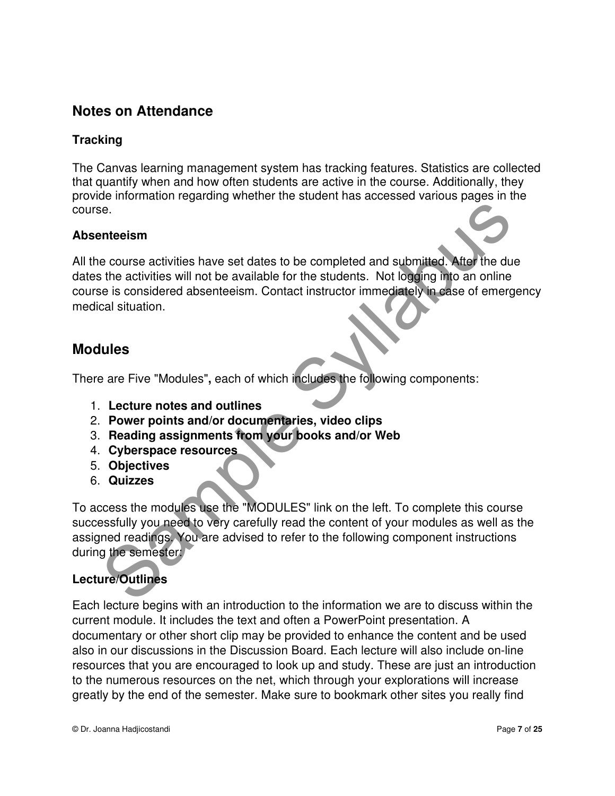# **Notes on Attendance**

#### **Tracking**

The Canvas learning management system has tracking features. Statistics are collected that quantify when and how often students are active in the course. Additionally, they provide information regarding whether the student has accessed various pages in the course.

#### **Absenteeism**

All the course activities have set dates to be completed and submitted. After the due dates the activities will not be available for the students. Not logging into an online course is considered absenteeism. Contact instructor immediately in case of emergency medical situation. Solutions and the state of the state of the state of the state of the state of the state of the state of the state of the state of the state of the state of the state of the state of the state of the state of the state of

## **Modules**

There are Five "Modules"**,** each of which includes the following components:

- 1. **Lecture notes and outlines**
- 2. **Power points and/or documentaries, video clips**
- 3. **Reading assignments from your books and/or Web**
- 4. **Cyberspace resources**
- 5. **Objectives**
- 6. **Quizzes**

To access the modules use the "MODULES" link on the left. To complete this course successfully you need to very carefully read the content of your modules as well as the assigned readings. You are advised to refer to the following component instructions during the semester:

## **Lecture/Outlines**

Each lecture begins with an introduction to the information we are to discuss within the current module. It includes the text and often a PowerPoint presentation. A documentary or other short clip may be provided to enhance the content and be used also in our discussions in the Discussion Board. Each lecture will also include on-line resources that you are encouraged to look up and study. These are just an introduction to the numerous resources on the net, which through your explorations will increase greatly by the end of the semester. Make sure to bookmark other sites you really find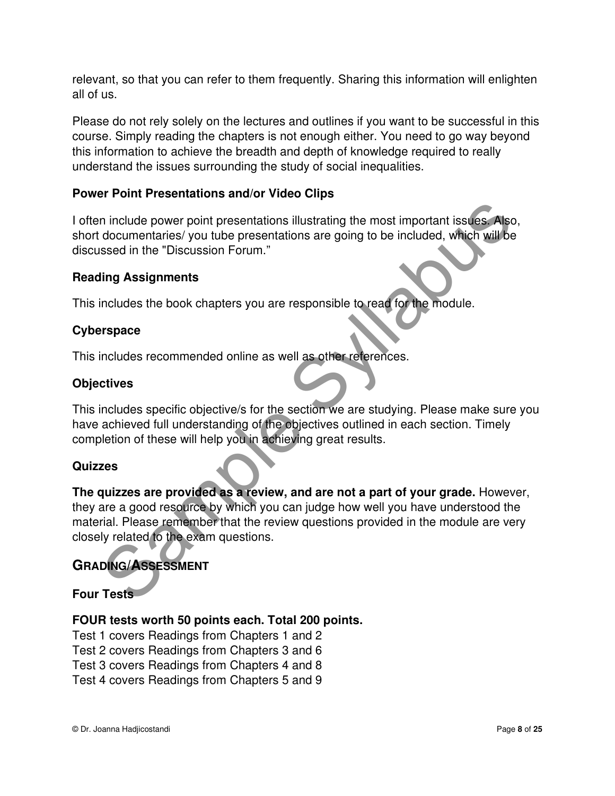relevant, so that you can refer to them frequently. Sharing this information will enlighten all of us.

Please do not rely solely on the lectures and outlines if you want to be successful in this course. Simply reading the chapters is not enough either. You need to go way beyond this information to achieve the breadth and depth of knowledge required to really understand the issues surrounding the study of social inequalities.

#### **Power Point Presentations and/or Video Clips**

I often include power point presentations illustrating the most important issues. Also, short documentaries/ you tube presentations are going to be included, which will be discussed in the "Discussion Forum."

#### **Reading Assignments**

This includes the book chapters you are responsible to read for the module.

#### **Cyberspace**

This includes recommended online as well as other references.

#### **Objectives**

This includes specific objective/s for the section we are studying. Please make sure you have achieved full understanding of the objectives outlined in each section. Timely completion of these will help you in achieving great results.

#### **Quizzes**

**The quizzes are provided as a review, and are not a part of your grade.** However, they are a good resource by which you can judge how well you have understood the material. Please remember that the review questions provided in the module are very closely related to the exam questions. n include power point presentations illustrating the most important issues. Also<br>documentaries/you tube presentations are going to be included, which will be<br>seed in the "Discussion Forum."<br>Iling Assignments<br>includes the b

## **GRADING/ASSESSMENT**

#### **Four Tests**

#### **FOUR tests worth 50 points each. Total 200 points.**

Test 1 covers Readings from Chapters 1 and 2 Test 2 covers Readings from Chapters 3 and 6 Test 3 covers Readings from Chapters 4 and 8 Test 4 covers Readings from Chapters 5 and 9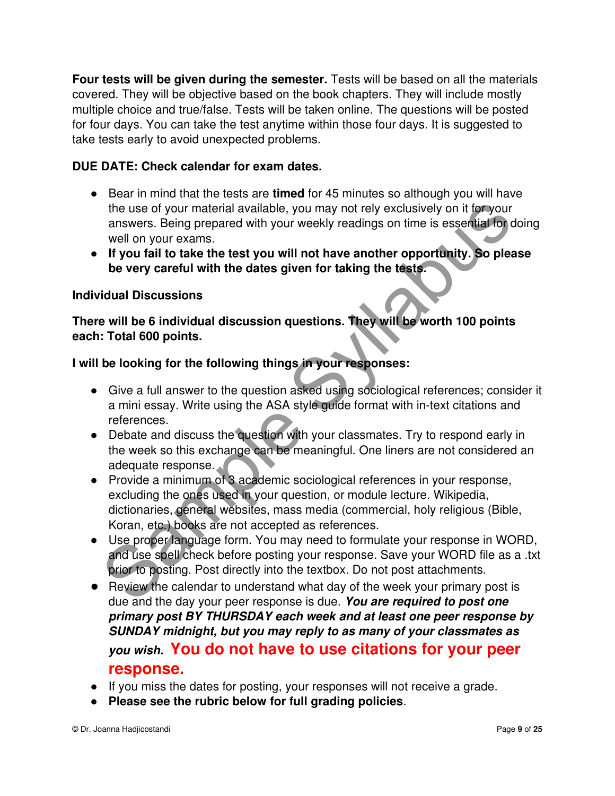**Four tests will be given during the semester.** Tests will be based on all the materials covered. They will be objective based on the book chapters. They will include mostly multiple choice and true/false. Tests will be taken online. The questions will be posted for four days. You can take the test anytime within those four days. It is suggested to take tests early to avoid unexpected problems.

#### **DUE DATE: Check calendar for exam dates.**

- Bear in mind that the tests are **timed** for 45 minutes so although you will have the use of your material available, you may not rely exclusively on it for your answers. Being prepared with your weekly readings on time is essential for doing well on your exams.
- **If you fail to take the test you will not have another opportunity. So please be very careful with the dates given for taking the tests.**

#### **Individual Discussions**

**There will be 6 individual discussion questions. They will be worth 100 points each: Total 600 points.** 

#### **I will be looking for the following things in your responses:**

- Give a full answer to the question asked using sociological references; consider it a mini essay. Write using the ASA style guide format with in-text citations and references.
- Debate and discuss the question with your classmates. Try to respond early in the week so this exchange can be meaningful. One liners are not considered an adequate response.
- Provide a minimum of 3 academic sociological references in your response, excluding the ones used in your question, or module lecture. Wikipedia, dictionaries, general websites, mass media (commercial, holy religious (Bible, Koran, etc.) books are not accepted as references. the use of your material available, you may not rely exclusively on it for your<br>answers. Being prepared with your weekly readings on time is essential for<br>swell on your exams.<br>If you fail to take the test you will not have
- Use proper language form. You may need to formulate your response in WORD, and use spell check before posting your response. Save your WORD file as a .txt prior to posting. Post directly into the textbox. Do not post attachments.
- Review the calendar to understand what day of the week your primary post is due and the day your peer response is due. **You are required to post one primary post BY THURSDAY each week and at least one peer response by SUNDAY midnight, but you may reply to as many of your classmates as you wish. You do not have to use citations for your peer response.**
- If you miss the dates for posting, your responses will not receive a grade.
- **Please see the rubric below for full grading policies**.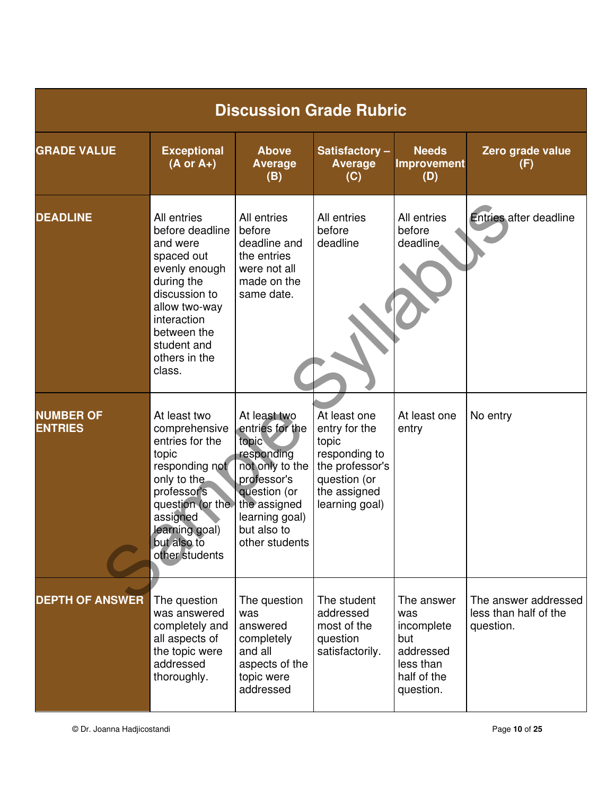|                                    | <b>Discussion Grade Rubric</b>                                                                                                                                                                    |                                                                                                                                                                             |                                                                                                                              |                                                                                              |                                                            |  |  |  |
|------------------------------------|---------------------------------------------------------------------------------------------------------------------------------------------------------------------------------------------------|-----------------------------------------------------------------------------------------------------------------------------------------------------------------------------|------------------------------------------------------------------------------------------------------------------------------|----------------------------------------------------------------------------------------------|------------------------------------------------------------|--|--|--|
| <b>GRADE VALUE</b>                 | <b>Exceptional</b><br>$(A \text{ or } A+)$                                                                                                                                                        | <b>Above</b><br><b>Average</b><br>(B)                                                                                                                                       | Satisfactory-<br><b>Average</b><br>(C)                                                                                       | <b>Needs</b><br><b>Improvement</b><br>(D)                                                    | Zero grade value<br>(F)                                    |  |  |  |
| <b>DEADLINE</b>                    | All entries<br>before deadline<br>and were<br>spaced out<br>evenly enough<br>during the<br>discussion to<br>allow two-way<br>interaction<br>between the<br>student and<br>others in the<br>class. | All entries<br>before<br>deadline and<br>the entries<br>were not all<br>made on the<br>same date.                                                                           | All entries<br>before<br>deadline                                                                                            | All entries<br>before<br>deadline.                                                           | <b>Entries after deadline</b>                              |  |  |  |
| <b>NUMBER OF</b><br><b>ENTRIES</b> | At least two<br>comprehensive<br>entries for the<br>topic<br>responding not<br>only to the<br>professor's<br>question (or the<br>assigned<br>learning goal)<br>but also to<br>other students      | At least two<br>entries for the<br>topic<br>responding<br>not only to the<br>professor's<br>question (or<br>the assigned<br>learning goal)<br>but also to<br>other students | At least one<br>entry for the<br>topic<br>responding to<br>the professor's<br>question (or<br>the assigned<br>learning goal) | At least one<br>entry                                                                        | No entry                                                   |  |  |  |
| <b>DEPTH OF ANSWER</b>             | The question<br>was answered<br>completely and<br>all aspects of<br>the topic were<br>addressed<br>thoroughly.                                                                                    | The question<br>was<br>answered<br>completely<br>and all<br>aspects of the<br>topic were<br>addressed                                                                       | The student<br>addressed<br>most of the<br>question<br>satisfactorily.                                                       | The answer<br>was<br>incomplete<br>but<br>addressed<br>less than<br>half of the<br>question. | The answer addressed<br>less than half of the<br>question. |  |  |  |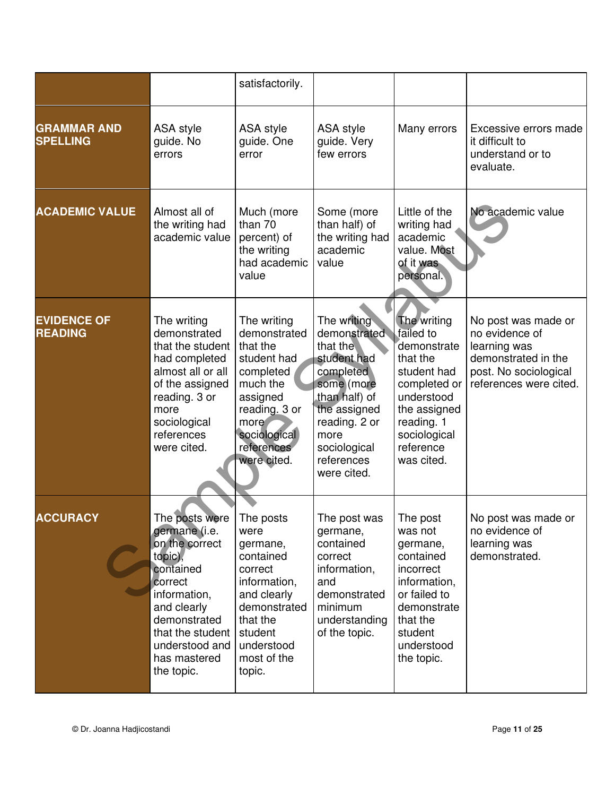|                                       |                                                                                                                                                                                                                     | satisfactorily.                                                                                                                                                   |                                                                                                                                                                                          |                                                                                                                                                                           |                                                                                                                                 |
|---------------------------------------|---------------------------------------------------------------------------------------------------------------------------------------------------------------------------------------------------------------------|-------------------------------------------------------------------------------------------------------------------------------------------------------------------|------------------------------------------------------------------------------------------------------------------------------------------------------------------------------------------|---------------------------------------------------------------------------------------------------------------------------------------------------------------------------|---------------------------------------------------------------------------------------------------------------------------------|
| <b>GRAMMAR AND</b><br><b>SPELLING</b> | ASA style<br>guide. No<br>errors                                                                                                                                                                                    | ASA style<br>guide. One<br>error                                                                                                                                  | ASA style<br>guide. Very<br>few errors                                                                                                                                                   | Many errors                                                                                                                                                               | Excessive errors made<br>it difficult to<br>understand or to<br>evaluate.                                                       |
| <b>ACADEMIC VALUE</b>                 | Almost all of<br>the writing had<br>academic value                                                                                                                                                                  | Much (more<br>than 70<br>percent) of<br>the writing<br>had academic<br>value                                                                                      | Some (more<br>than half) of<br>the writing had<br>academic<br>value                                                                                                                      | Little of the<br>writing had<br>academic<br>value. Most<br>of it was<br>personal.                                                                                         | No academic value                                                                                                               |
| <b>EVIDENCE OF</b><br><b>READING</b>  | The writing<br>demonstrated<br>that the student<br>had completed<br>almost all or all<br>of the assigned<br>reading. 3 or<br>more<br>sociological<br>references<br>were cited.                                      | The writing<br>demonstrated<br>that the<br>student had<br>completed<br>much the<br>assigned<br>reading. 3 or<br>more<br>sociological<br>references<br>were cited. | The writing<br>demonstrated<br>that the<br>student had<br>completed<br>some (more<br>than half) of<br>the assigned<br>reading. 2 or<br>more<br>sociological<br>references<br>were cited. | The writing<br>failed to<br>demonstrate<br>that the<br>student had<br>completed or<br>understood<br>the assigned<br>reading. 1<br>sociological<br>reference<br>was cited. | No post was made or<br>no evidence of<br>learning was<br>demonstrated in the<br>post. No sociological<br>references were cited. |
| <b>ACCURACY</b>                       | The posts were   The posts<br>germane (i.e.<br>on the correct<br>topic),<br>contained<br>correct<br>information,<br>and clearly<br>demonstrated<br>that the student<br>understood and<br>has mastered<br>the topic. | were<br>germane,<br>contained<br>correct<br>information,<br>and clearly<br>demonstrated<br>that the<br>student<br>understood<br>most of the<br>topic.             | The post was<br>germane,<br>contained<br>correct<br>information,<br>and<br>demonstrated<br>minimum<br>understanding<br>of the topic.                                                     | The post<br>was not<br>germane,<br>contained<br>incorrect<br>information,<br>or failed to<br>demonstrate<br>that the<br>student<br>understood<br>the topic.               | No post was made or<br>no evidence of<br>learning was<br>demonstrated.                                                          |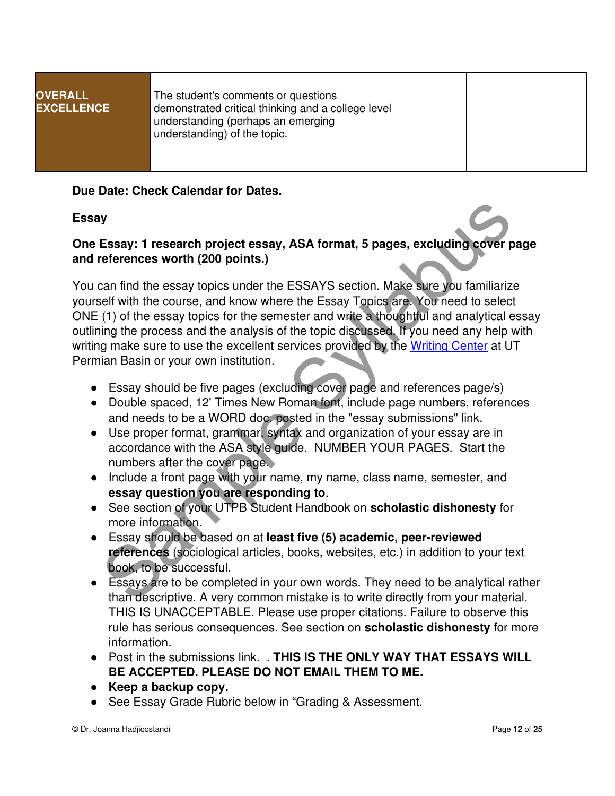| demonstrated critical thinking and a college level<br><b>EXCELLENCE</b><br>understanding (perhaps an emerging<br>understanding) of the topic. | <b>OVERALL</b> | The student's comments or questions |  |  |  |
|-----------------------------------------------------------------------------------------------------------------------------------------------|----------------|-------------------------------------|--|--|--|
|-----------------------------------------------------------------------------------------------------------------------------------------------|----------------|-------------------------------------|--|--|--|

#### **Due Date: Check Calendar for Dates.**

#### **Essay**

#### **One Essay: 1 research project essay, ASA format, 5 pages, excluding cover page and references worth (200 points.)**

You can find the essay topics under the ESSAYS section. Make sure you familiarize yourself with the course, and know where the Essay Topics are. You need to select ONE (1) of the essay topics for the semester and write a thoughtful and analytical essay outlining the process and the analysis of the topic discussed. If you need any help with writing make sure to use the excellent services provided by the Writing Center at UT Permian Basin or your own institution. besauding the search project essay, ASA format, 5 pages, excluding cover references worth (200 points.)<br>
Scan find the essay topics under the ESSAYS section. Make stree you familiarized firth the course, and know where the

- Essay should be five pages (excluding cover page and references page/s)
- Double spaced, 12' Times New Roman font, include page numbers, references and needs to be a WORD doc, posted in the "essay submissions" link.
- Use proper format, grammar, syntax and organization of your essay are in accordance with the ASA style guide. NUMBER YOUR PAGES. Start the numbers after the cover page.
- Include a front page with your name, my name, class name, semester, and **essay question you are responding to**.
- See section of your UTPB Student Handbook on **scholastic dishonesty** for more information.
- Essay should be based on at **least five (5) academic, peer-reviewed references** (sociological articles, books, websites, etc.) in addition to your text book, to be successful.
- Essays are to be completed in your own words. They need to be analytical rather than descriptive. A very common mistake is to write directly from your material. THIS IS UNACCEPTABLE. Please use proper citations. Failure to observe this rule has serious consequences. See section on **scholastic dishonesty** for more information.
- Post in the submissions link. . **THIS IS THE ONLY WAY THAT ESSAYS WILL BE ACCEPTED. PLEASE DO NOT EMAIL THEM TO ME.**
- **Keep a backup copy.**
- See Essay Grade Rubric below in "Grading & Assessment.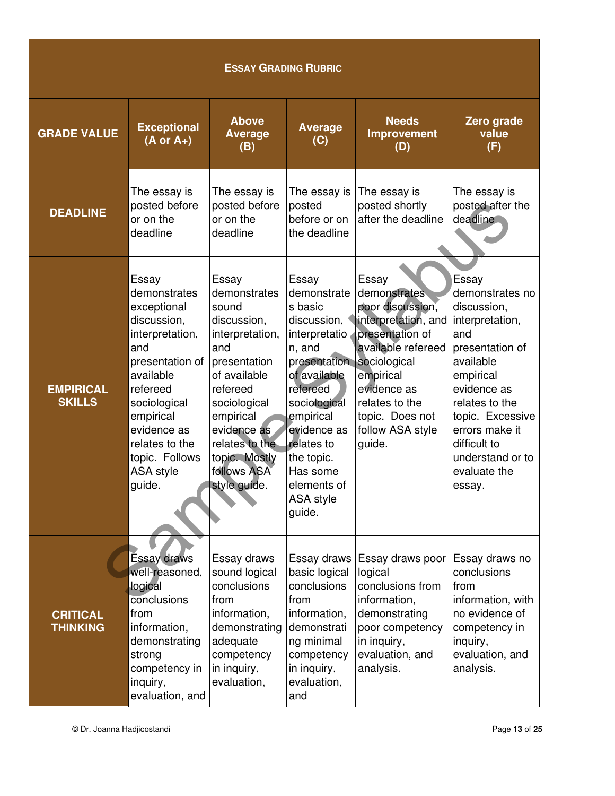| <b>ESSAY GRADING RUBRIC</b>        |                                                                                                                                                                                                                                         |                                                                                                                                                                                                                                   |                                                                                                                                                                                                                                                 |                                                                                                                                                                                                                          |                                                                                                                                                                                                                                                     |  |  |
|------------------------------------|-----------------------------------------------------------------------------------------------------------------------------------------------------------------------------------------------------------------------------------------|-----------------------------------------------------------------------------------------------------------------------------------------------------------------------------------------------------------------------------------|-------------------------------------------------------------------------------------------------------------------------------------------------------------------------------------------------------------------------------------------------|--------------------------------------------------------------------------------------------------------------------------------------------------------------------------------------------------------------------------|-----------------------------------------------------------------------------------------------------------------------------------------------------------------------------------------------------------------------------------------------------|--|--|
| <b>GRADE VALUE</b>                 | <b>Exceptional</b><br>$(A \text{ or } A+)$                                                                                                                                                                                              | <b>Above</b><br><b>Average</b><br>(B)                                                                                                                                                                                             | <b>Average</b><br>(C)                                                                                                                                                                                                                           | <b>Needs</b><br>Improvement<br>(D)                                                                                                                                                                                       | Zero grade<br>value<br>(F)                                                                                                                                                                                                                          |  |  |
| <b>DEADLINE</b>                    | The essay is<br>posted before<br>or on the<br>deadline                                                                                                                                                                                  | The essay is<br>posted before<br>or on the<br>deadline                                                                                                                                                                            | The essay is<br>posted<br>before or on<br>the deadline                                                                                                                                                                                          | The essay is<br>posted shortly<br>after the deadline                                                                                                                                                                     | The essay is<br>posted after the<br>deadline                                                                                                                                                                                                        |  |  |
| <b>EMPIRICAL</b><br><b>SKILLS</b>  | Essay<br>demonstrates<br>exceptional<br>discussion,<br>interpretation,<br>and<br>presentation of<br>available<br>refereed<br>sociological<br>empirical<br>evidence as<br>relates to the<br>topic. Follows<br><b>ASA style</b><br>guide. | Essay<br>demonstrates<br>sound<br>discussion,<br>interpretation,<br>and<br>presentation<br>of available<br>refereed<br>sociological<br>empirical<br>evidence as<br>relates to the<br>topic. Mostly<br>follows ASA<br>style guide. | Essay<br>demonstrate<br>s basic<br>discussion,<br>interpretatio<br>n, and<br>presentation<br>of available<br>refereed<br>sociological<br>empirical<br>evidence as<br>relates to<br>the topic.<br>Has some<br>elements of<br>ASA style<br>guide. | Essay<br>demonstrates<br>poor discussion,<br>interpretation, and<br>presentation of<br>available refereed<br>sociological<br>empirical<br>evidence as<br>relates to the<br>topic. Does not<br>follow ASA style<br>guide. | Essay<br>demonstrates no<br>discussion,<br>interpretation,<br>and<br>presentation of<br>available<br>empirical<br>evidence as<br>relates to the<br>topic. Excessive<br>errors make it<br>difficult to<br>understand or to<br>evaluate the<br>essay. |  |  |
| <b>CRITICAL</b><br><b>THINKING</b> | Essay draws<br>well-reasoned,<br>logical<br>conclusions<br>from<br>information,<br>demonstrating<br>strong<br>competency in<br>inquiry,<br>evaluation, and                                                                              | Essay draws<br>sound logical<br>conclusions<br>from<br>information,<br>demonstrating<br>adequate<br>competency<br>in inquiry,<br>evaluation,                                                                                      | Essay draws<br>basic logical<br>conclusions<br>from<br>information,<br>demonstrati<br>ng minimal<br>competency<br>in inquiry,<br>evaluation,<br>and                                                                                             | Essay draws poor<br>logical<br>conclusions from<br>information,<br>demonstrating<br>poor competency<br>in inquiry,<br>evaluation, and<br>analysis.                                                                       | Essay draws no<br>conclusions<br>from<br>information, with<br>no evidence of<br>competency in<br>inquiry,<br>evaluation, and<br>analysis.                                                                                                           |  |  |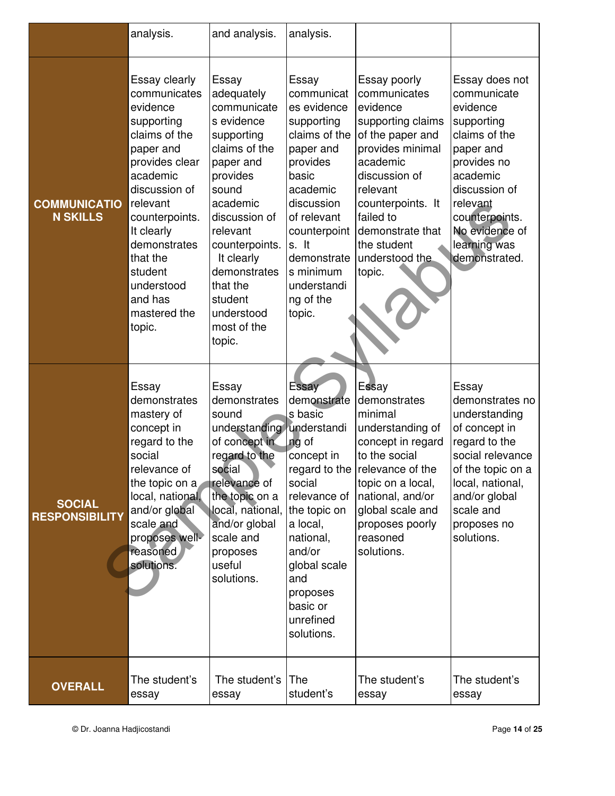|                                        | analysis.                                                                                                                                                                                                                                                                  | and analysis.                                                                                                                                                                                                                                                            | analysis.                                                                                                                                                                                                                                     |                                                                                                                                                                                                                                                 |                                                                                                                                                                                                                    |
|----------------------------------------|----------------------------------------------------------------------------------------------------------------------------------------------------------------------------------------------------------------------------------------------------------------------------|--------------------------------------------------------------------------------------------------------------------------------------------------------------------------------------------------------------------------------------------------------------------------|-----------------------------------------------------------------------------------------------------------------------------------------------------------------------------------------------------------------------------------------------|-------------------------------------------------------------------------------------------------------------------------------------------------------------------------------------------------------------------------------------------------|--------------------------------------------------------------------------------------------------------------------------------------------------------------------------------------------------------------------|
| <b>COMMUNICATIO</b><br><b>N SKILLS</b> | Essay clearly<br>communicates<br>evidence<br>supporting<br>claims of the<br>paper and<br>provides clear<br>academic<br>discussion of<br>relevant<br>counterpoints.<br>It clearly<br>demonstrates<br>that the<br>student<br>understood<br>and has<br>mastered the<br>topic. | Essay<br>adequately<br>communicate<br>s evidence<br>supporting<br>claims of the<br>paper and<br>provides<br>sound<br>academic<br>discussion of<br>relevant<br>counterpoints.<br>It clearly<br>demonstrates<br>that the<br>student<br>understood<br>most of the<br>topic. | Essay<br>communicat<br>es evidence<br>supporting<br>claims of the<br>paper and<br>provides<br>basic<br>academic<br>discussion<br>of relevant<br>counterpoint<br>s. It<br>demonstrate<br>s minimum<br>understandi<br>ng of the<br>topic.       | Essay poorly<br>communicates<br>evidence<br>supporting claims<br>of the paper and<br>provides minimal<br>academic<br>discussion of<br>relevant<br>counterpoints. It<br>failed to<br>demonstrate that<br>the student<br>understood the<br>topic. | Essay does not<br>communicate<br>evidence<br>supporting<br>claims of the<br>paper and<br>provides no<br>academic<br>discussion of<br>relevant<br>counterpoints.<br>No evidence of<br>learning was<br>demonstrated. |
| <b>SOCIAL</b><br><b>RESPONSIBILITY</b> | Essay<br>demonstrates<br>mastery of<br>concept in<br>regard to the<br>social<br>relevance of<br>the topic on a<br>local, national,<br>and/or global<br>scale and<br>proposes well-<br>reasoned<br>solutions.                                                               | Essay<br>demonstrates<br>sound<br>understanding<br>of concept in<br>regard to the<br>social<br>relevance of<br>the topic on a<br>local, national,<br>and/or global<br>scale and<br>proposes<br>useful<br>solutions.                                                      | Essay<br>demonstrate<br>s basic<br>understandi<br>ng of<br>concept in<br>regard to the<br>social<br>relevance of<br>the topic on<br>a local,<br>national,<br>and/or<br>global scale<br>and<br>proposes<br>basic or<br>unrefined<br>solutions. | Essay<br>demonstrates<br>minimal<br>understanding of<br>concept in regard<br>to the social<br>relevance of the<br>topic on a local,<br>national, and/or<br>global scale and<br>proposes poorly<br>reasoned<br>solutions.                        | Essay<br>demonstrates no<br>understanding<br>of concept in<br>regard to the<br>social relevance<br>of the topic on a<br>local, national,<br>and/or global<br>scale and<br>proposes no<br>solutions.                |
| <b>OVERALL</b>                         | The student's<br>essay                                                                                                                                                                                                                                                     | The student's<br>essay                                                                                                                                                                                                                                                   | The<br>student's                                                                                                                                                                                                                              | The student's<br>essay                                                                                                                                                                                                                          | The student's<br>essay                                                                                                                                                                                             |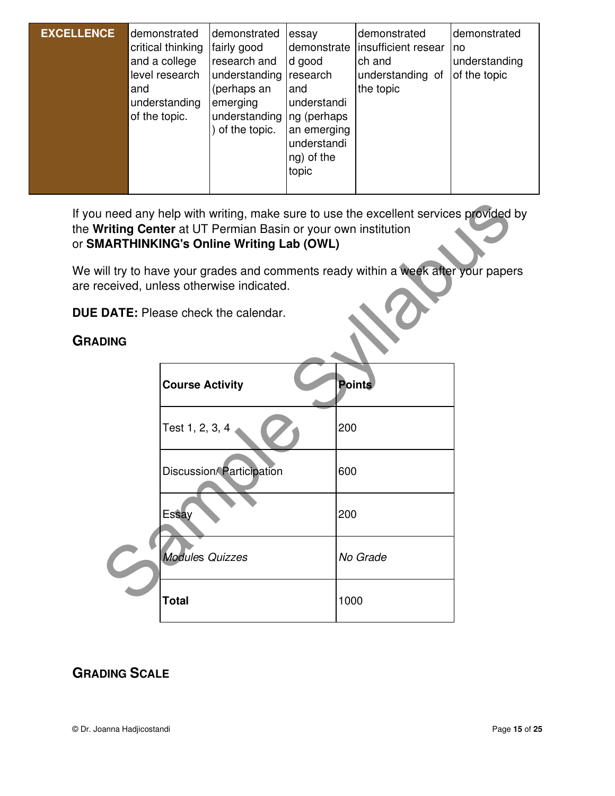| <b>EXCELLENCE</b> | demonstrated<br>critical thinking<br>and a college<br>level research<br>and<br>understanding<br>of the topic. | demonstrated<br>fairly good<br>research and<br>understanding research<br>(perhaps an<br>emerging<br>understanding   ng (perhaps<br>of the topic. | essay<br>demonstrate<br>d good<br>and<br>understandi<br>an emerging<br>understandi<br>ng) of the<br>topic | demonstrated<br>insufficient resear<br>ch and<br>understanding of<br>the topic | demonstrated<br>no<br>understanding<br>of the topic |
|-------------------|---------------------------------------------------------------------------------------------------------------|--------------------------------------------------------------------------------------------------------------------------------------------------|-----------------------------------------------------------------------------------------------------------|--------------------------------------------------------------------------------|-----------------------------------------------------|
|                   |                                                                                                               |                                                                                                                                                  |                                                                                                           |                                                                                |                                                     |

If you need any help with writing, make sure to use the excellent services provided by the **Writing Center** at UT Permian Basin or your own institution or **SMARTHINKING's Online Writing Lab (OWL)**

We will try to have your grades and comments ready within a week after your papers are received, unless otherwise indicated.

**DUE DATE:** Please check the calendar.

#### **GRADING**

|             | I need any help with writing, make sure to use the excellent services provided<br><b>Vriting Center</b> at UT Permian Basin or your own institution<br><b>JARTHINKING's Online Writing Lab (OWL)</b> |               |  |  |  |  |  |
|-------------|------------------------------------------------------------------------------------------------------------------------------------------------------------------------------------------------------|---------------|--|--|--|--|--|
|             | vill try to have your grades and comments ready within a week after your pape<br>eceived, unless otherwise indicated.                                                                                |               |  |  |  |  |  |
|             | <b>DATE:</b> Please check the calendar.                                                                                                                                                              |               |  |  |  |  |  |
| <b>DING</b> |                                                                                                                                                                                                      |               |  |  |  |  |  |
|             | <b>Course Activity</b>                                                                                                                                                                               | <b>Points</b> |  |  |  |  |  |
|             | Test 1, 2, 3, 4                                                                                                                                                                                      | 200           |  |  |  |  |  |
|             | Discussion/Participation                                                                                                                                                                             | 600           |  |  |  |  |  |
|             | Essay                                                                                                                                                                                                | 200           |  |  |  |  |  |
|             | <b>Modules Quizzes</b>                                                                                                                                                                               | No Grade      |  |  |  |  |  |
|             | <b>Total</b>                                                                                                                                                                                         | 1000          |  |  |  |  |  |

# **GRADING SCALE**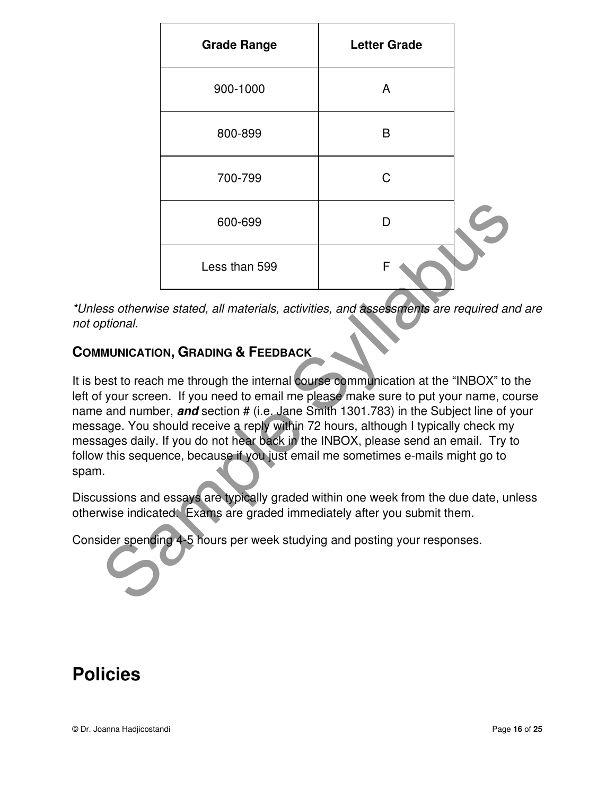| <b>Grade Range</b> | <b>Letter Grade</b> |  |
|--------------------|---------------------|--|
| 900-1000           | A                   |  |
| 800-899            | B                   |  |
| 700-799            | C                   |  |
| 600-699            | n                   |  |
| Less than 599      | F                   |  |

\*Unless otherwise stated, all materials, activities, and assessments are required and are not optional.

# **COMMUNICATION, GRADING & FEEDBACK**

It is best to reach me through the internal course communication at the "INBOX" to the left of your screen. If you need to email me please make sure to put your name, course name and number, **and** section # (i.e. Jane Smith 1301.783) in the Subject line of your message. You should receive a reply within 72 hours, although I typically check my messages daily. If you do not hear back in the INBOX, please send an email. Try to follow this sequence, because if you just email me sometimes e-mails might go to spam. 600-699<br>
Less than 599<br>
Less than 599<br>
Ses otherwise stated, all materials, activities, and assessments are required an<br>
munication, GRADING & FEEDBACK<br>
Ses to reach me through the internal course communication at the "INB

Discussions and essays are typically graded within one week from the due date, unless otherwise indicated. Exams are graded immediately after you submit them.

Consider spending 4-5 hours per week studying and posting your responses.

# **Policies**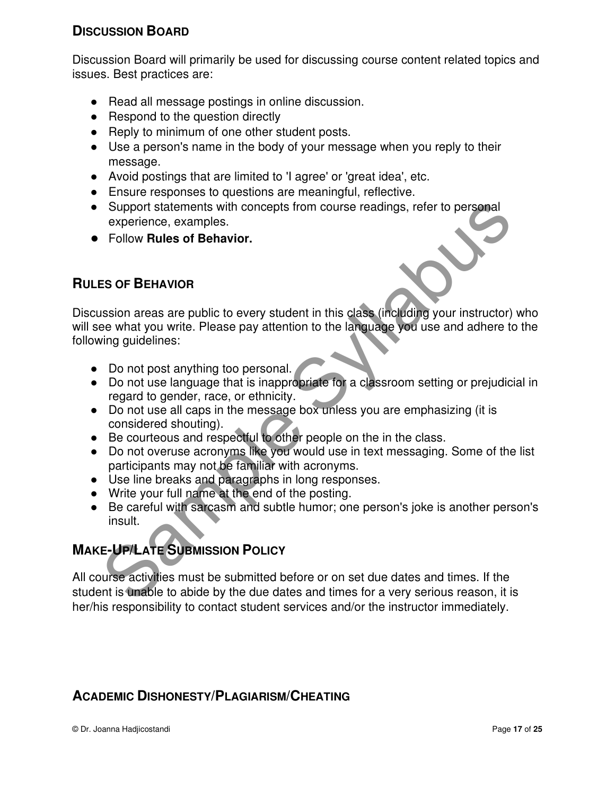## **DISCUSSION BOARD**

Discussion Board will primarily be used for discussing course content related topics and issues. Best practices are:

- Read all message postings in online discussion.
- Respond to the question directly
- Reply to minimum of one other student posts.
- Use a person's name in the body of your message when you reply to their message.
- Avoid postings that are limited to 'I agree' or 'great idea', etc.
- Ensure responses to questions are meaningful, reflective.
- Support statements with concepts from course readings, refer to personal experience, examples.
- Follow **Rules of Behavior.**

## **RULES OF BEHAVIOR**

Discussion areas are public to every student in this class (including your instructor) who will see what you write. Please pay attention to the language you use and adhere to the following guidelines: Support statements with concepts from course readings, refer to personal<br>experience, examples.<br>Follow Rules of Behavior.<br>Samples Samples.<br>Samples Samples Suppose the Maximum of the language you use and adhere to<br>the wind y

- Do not post anything too personal.
- Do not use language that is inappropriate for a classroom setting or prejudicial in regard to gender, race, or ethnicity.
- Do not use all caps in the message box unless you are emphasizing (it is considered shouting).
- Be courteous and respectful to other people on the in the class.
- Do not overuse acronyms like you would use in text messaging. Some of the list participants may not be familiar with acronyms.
- Use line breaks and paragraphs in long responses.
- Write your full name at the end of the posting.
- Be careful with sarcasm and subtle humor; one person's joke is another person's insult.

# **MAKE-UP/LATE SUBMISSION POLICY**

All course activities must be submitted before or on set due dates and times. If the student is unable to abide by the due dates and times for a very serious reason, it is her/his responsibility to contact student services and/or the instructor immediately.

# **ACADEMIC DISHONESTY/PLAGIARISM/CHEATING**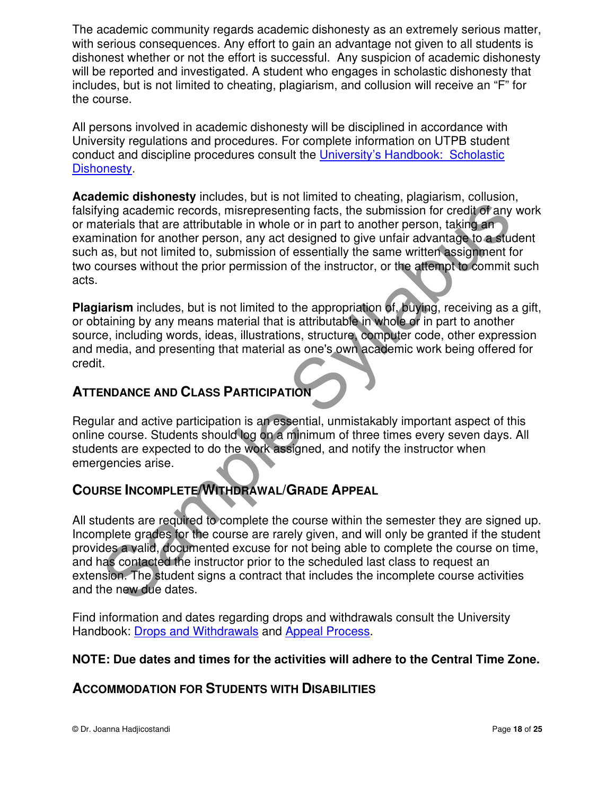The academic community regards academic dishonesty as an extremely serious matter, with serious consequences. Any effort to gain an advantage not given to all students is dishonest whether or not the effort is successful. Any suspicion of academic dishonesty will be reported and investigated. A student who engages in scholastic dishonesty that includes, but is not limited to cheating, plagiarism, and collusion will receive an "F" for the course.

All persons involved in academic dishonesty will be disciplined in accordance with University regulations and procedures. For complete information on UTPB student conduct and discipline procedures consult the University's Handbook: Scholastic Dishonesty.

**Academic dishonesty** includes, but is not limited to cheating, plagiarism, collusion, falsifying academic records, misrepresenting facts, the submission for credit of any work or materials that are attributable in whole or in part to another person, taking an examination for another person, any act designed to give unfair advantage to a student such as, but not limited to, submission of essentially the same written assignment for two courses without the prior permission of the instructor, or the attempt to commit such acts. Final and active particle in whole or in particle and will only a scalentic records, interpresenting facts, the submission for credited any invirging academic records, interpresenting facts, the submission for credited any

**Plagiarism** includes, but is not limited to the appropriation of, buying, receiving as a gift, or obtaining by any means material that is attributable in whole or in part to another source, including words, ideas, illustrations, structure, computer code, other expression and media, and presenting that material as one's own academic work being offered for credit.

## **ATTENDANCE AND CLASS PARTICIPATION**

Regular and active participation is an essential, unmistakably important aspect of this online course. Students should log on a minimum of three times every seven days. All students are expected to do the work assigned, and notify the instructor when emergencies arise.

# **COURSE INCOMPLETE/WITHDRAWAL/GRADE APPEAL**

All students are required to complete the course within the semester they are signed up. Incomplete grades for the course are rarely given, and will only be granted if the student provides a valid, documented excuse for not being able to complete the course on time, and has contacted the instructor prior to the scheduled last class to request an extension. The student signs a contract that includes the incomplete course activities and the new due dates.

Find information and dates regarding drops and withdrawals consult the University Handbook: Drops and Withdrawals and Appeal Process.

#### **NOTE: Due dates and times for the activities will adhere to the Central Time Zone.**

## **ACCOMMODATION FOR STUDENTS WITH DISABILITIES**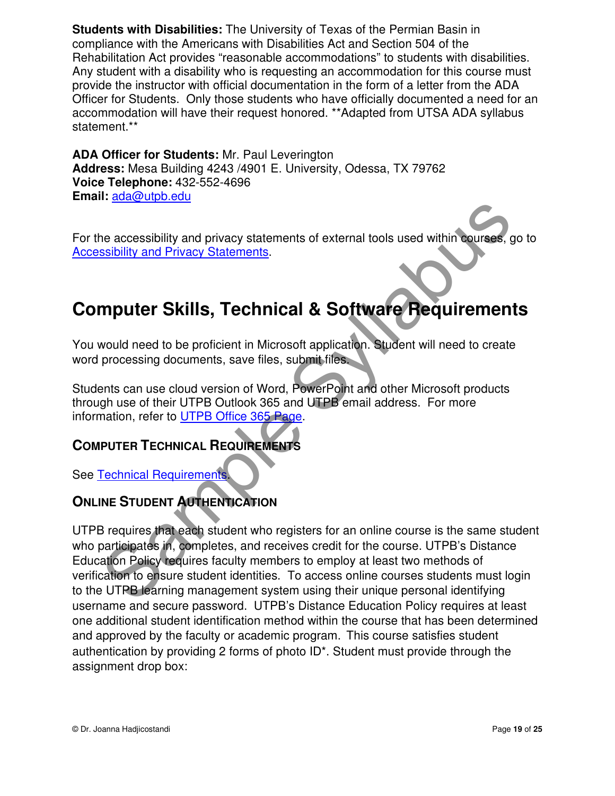**Students with Disabilities:** The University of Texas of the Permian Basin in compliance with the Americans with Disabilities Act and Section 504 of the Rehabilitation Act provides "reasonable accommodations" to students with disabilities. Any student with a disability who is requesting an accommodation for this course must provide the instructor with official documentation in the form of a letter from the ADA Officer for Students. Only those students who have officially documented a need for an accommodation will have their request honored. \*\*Adapted from UTSA ADA syllabus statement.\*\*

**ADA Officer for Students:** Mr. Paul Leverington **Address:** Mesa Building 4243 /4901 E. University, Odessa, TX 79762 **Voice Telephone:** 432-552-4696 **Email:** ada@utpb.edu

For the accessibility and privacy statements of external tools used within courses, go to Accessibility and Privacy Statements.

# **Computer Skills, Technical & Software Requirements**

You would need to be proficient in Microsoft application. Student will need to create word processing documents, save files, submit files.

Students can use cloud version of Word, PowerPoint and other Microsoft products through use of their UTPB Outlook 365 and UTPB email address. For more information, refer to UTPB Office 365 Page.

# **COMPUTER TECHNICAL REQUIREMENTS**

See Technical Requirements.

# **ONLINE STUDENT AUTHENTICATION**

UTPB requires that each student who registers for an online course is the same student who participates in, completes, and receives credit for the course. UTPB's Distance Education Policy requires faculty members to employ at least two methods of verification to ensure student identities. To access online courses students must login to the UTPB learning management system using their unique personal identifying username and secure password. UTPB's Distance Education Policy requires at least one additional student identification method within the course that has been determined and approved by the faculty or academic program. This course satisfies student authentication by providing 2 forms of photo ID\*. Student must provide through the assignment drop box: The accessibility and privacy statements of external tools used within courses, a<br>sibility and Privacy Statements.<br> **Sample Frivacy Statements.**<br> **Sample Frivacy Statements.**<br> **Supplemental & Software Requirement**<br>
Mould n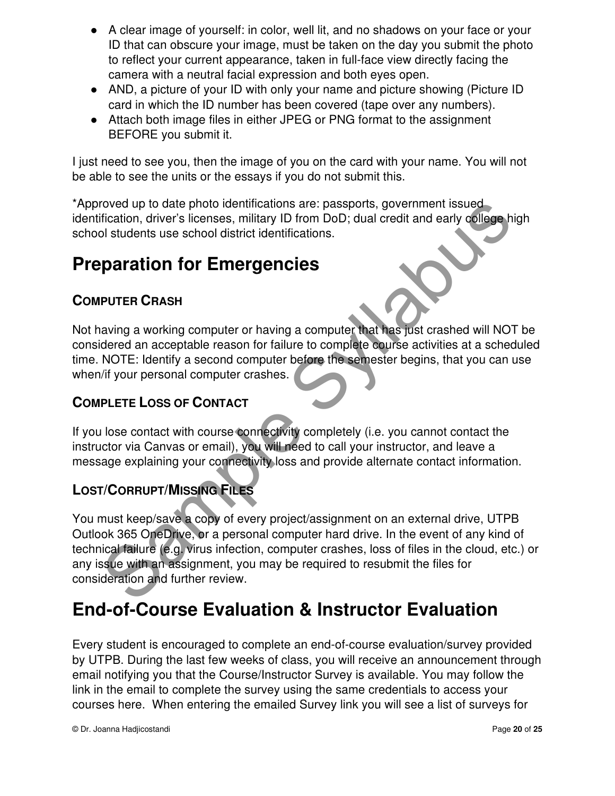- A clear image of yourself: in color, well lit, and no shadows on your face or your ID that can obscure your image, must be taken on the day you submit the photo to reflect your current appearance, taken in full-face view directly facing the camera with a neutral facial expression and both eyes open.
- AND, a picture of your ID with only your name and picture showing (Picture ID card in which the ID number has been covered (tape over any numbers).
- Attach both image files in either JPEG or PNG format to the assignment BEFORE you submit it.

I just need to see you, then the image of you on the card with your name. You will not be able to see the units or the essays if you do not submit this.

\*Approved up to date photo identifications are: passports, government issued identification, driver's licenses, military ID from DoD; dual credit and early college high school students use school district identifications.

# **Preparation for Emergencies**

# **COMPUTER CRASH**

Not having a working computer or having a computer that has just crashed will NOT be considered an acceptable reason for failure to complete course activities at a scheduled time. NOTE: Identify a second computer before the semester begins, that you can use when/if your personal computer crashes.

# **COMPLETE LOSS OF CONTACT**

If you lose contact with course connectivity completely (i.e. you cannot contact the instructor via Canvas or email), you will need to call your instructor, and leave a message explaining your connectivity loss and provide alternate contact information.

# **LOST/CORRUPT/MISSING FILES**

You must keep/save a copy of every project/assignment on an external drive, UTPB Outlook 365 OneDrive, or a personal computer hard drive. In the event of any kind of technical failure (e.g. virus infection, computer crashes, loss of files in the cloud, etc.) or any issue with an assignment, you may be required to resubmit the files for consideration and further review. Findation, driver's licenses, military ID from DoD; dual credit and early college historication, driver's licenses, military ID from DoD; dual credit and early college historial students use school district identifications

# **End-of-Course Evaluation & Instructor Evaluation**

Every student is encouraged to complete an end-of-course evaluation/survey provided by UTPB. During the last few weeks of class, you will receive an announcement through email notifying you that the Course/Instructor Survey is available. You may follow the link in the email to complete the survey using the same credentials to access your courses here. When entering the emailed Survey link you will see a list of surveys for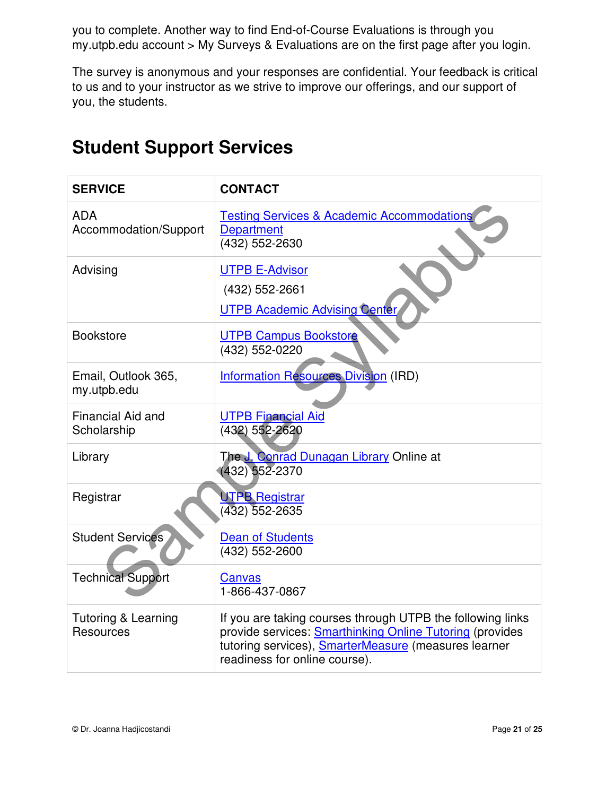you to complete. Another way to find End-of-Course Evaluations is through you my.utpb.edu account > My Surveys & Evaluations are on the first page after you login.

The survey is anonymous and your responses are confidential. Your feedback is critical to us and to your instructor as we strive to improve our offerings, and our support of you, the students.

| <b>SERVICE</b>                              | <b>CONTACT</b>                                                                                                                                                                                                         |
|---------------------------------------------|------------------------------------------------------------------------------------------------------------------------------------------------------------------------------------------------------------------------|
| <b>ADA</b><br>Accommodation/Support         | <b>Testing Services &amp; Academic Accommodations</b><br><b>Department</b><br>(432) 552-2630                                                                                                                           |
| Advising                                    | <b>UTPB E-Advisor</b><br>(432) 552-2661<br><b>UTPB Academic Advising Center</b>                                                                                                                                        |
| <b>Bookstore</b>                            | <b>UTPB Campus Bookstore</b><br>(432) 552-0220                                                                                                                                                                         |
| Email, Outlook 365,<br>my.utpb.edu          | <b>Information Resources Division (IRD)</b>                                                                                                                                                                            |
| Financial Aid and<br>Scholarship            | <b>UTPB Financial Aid</b><br>(432) 552-2620                                                                                                                                                                            |
| Library                                     | The J. Conrad Dunagan Library Online at<br>(432) 552-2370                                                                                                                                                              |
| Registrar                                   | <b>UTPB Registrar</b><br>(432) 552-2635                                                                                                                                                                                |
| <b>Student Services</b>                     | <b>Dean of Students</b><br>(432) 552-2600                                                                                                                                                                              |
| <b>Technical Support</b>                    | Canvas<br>1-866-437-0867                                                                                                                                                                                               |
| <b>Tutoring &amp; Learning</b><br>Resources | If you are taking courses through UTPB the following links<br>provide services: <b>Smarthinking Online Tutoring</b> (provides<br>tutoring services), SmarterMeasure (measures learner<br>readiness for online course). |

# **Student Support Services**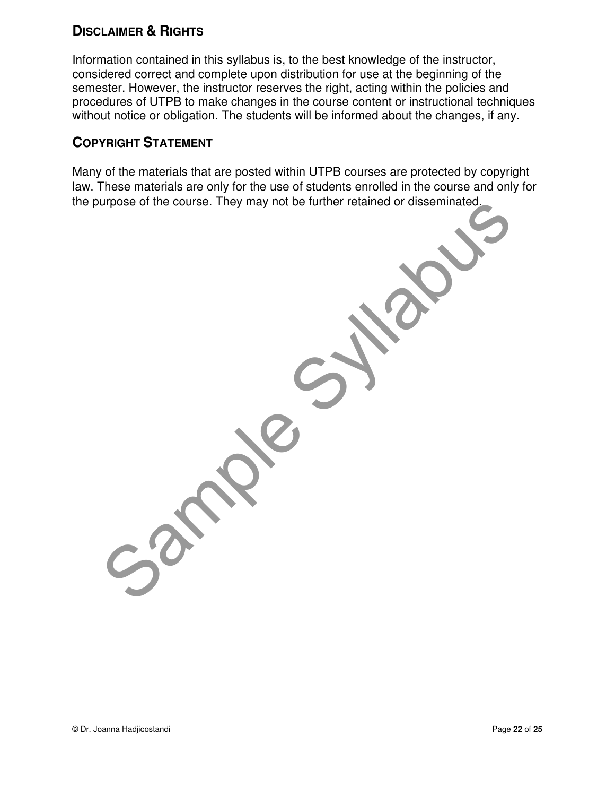## **DISCLAIMER & RIGHTS**

Information contained in this syllabus is, to the best knowledge of the instructor, considered correct and complete upon distribution for use at the beginning of the semester. However, the instructor reserves the right, acting within the policies and procedures of UTPB to make changes in the course content or instructional techniques without notice or obligation. The students will be informed about the changes, if any.

## **COPYRIGHT STATEMENT**

Many of the materials that are posted within UTPB courses are protected by copyright law. These materials are only for the use of students enrolled in the course and only for the purpose of the course. They may not be further retained or disseminated. Contre course. They may not be turner retained or disseminated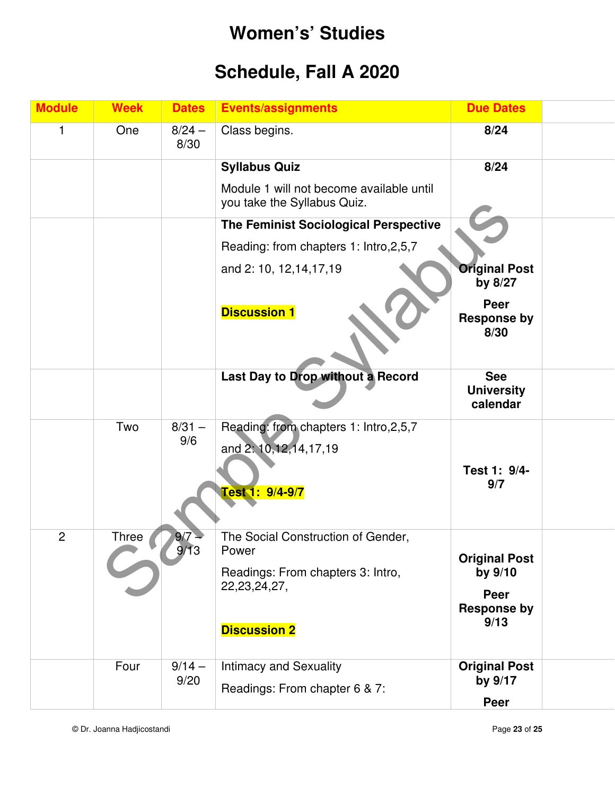# **Women's' Studies**

# **Schedule, Fall A 2020**

| <b>Module</b>  | <b>Week</b>  | <b>Dates</b>     | <b>Events/assignments</b>                                                                                                  | <b>Due Dates</b>                                                      |
|----------------|--------------|------------------|----------------------------------------------------------------------------------------------------------------------------|-----------------------------------------------------------------------|
| 1              | One          | $8/24 -$<br>8/30 | Class begins.                                                                                                              | 8/24                                                                  |
|                |              |                  | <b>Syllabus Quiz</b>                                                                                                       | 8/24                                                                  |
|                |              |                  | Module 1 will not become available until<br>you take the Syllabus Quiz.                                                    |                                                                       |
|                |              |                  | The Feminist Sociological Perspective                                                                                      |                                                                       |
|                |              |                  | Reading: from chapters 1: Intro, 2, 5, 7                                                                                   |                                                                       |
|                |              |                  | and 2: 10, 12, 14, 17, 19                                                                                                  | <b>Original Post</b><br>by 8/27                                       |
|                |              |                  | <b>Discussion 1</b>                                                                                                        | Peer<br><b>Response by</b><br>8/30                                    |
|                |              |                  | Last Day to Drop without a Record                                                                                          | <b>See</b><br><b>University</b><br>calendar                           |
|                | Two          | $8/31 -$<br>9/6  | Reading: from chapters 1: Intro, 2, 5, 7<br>and 2: 10, 12, 14, 17, 19<br>Test 1: 9/4-9/7                                   | Test 1: 9/4-<br>9/7                                                   |
| $\overline{2}$ | <b>Three</b> | 9/7<br>9/13      | The Social Construction of Gender,<br>Power<br>Readings: From chapters 3: Intro,<br>22, 23, 24, 27,<br><b>Discussion 2</b> | <b>Original Post</b><br>by 9/10<br>Peer<br><b>Response by</b><br>9/13 |
|                | Four         | $9/14 -$<br>9/20 | <b>Intimacy and Sexuality</b><br>Readings: From chapter 6 & 7:                                                             | <b>Original Post</b><br>by 9/17<br>Peer                               |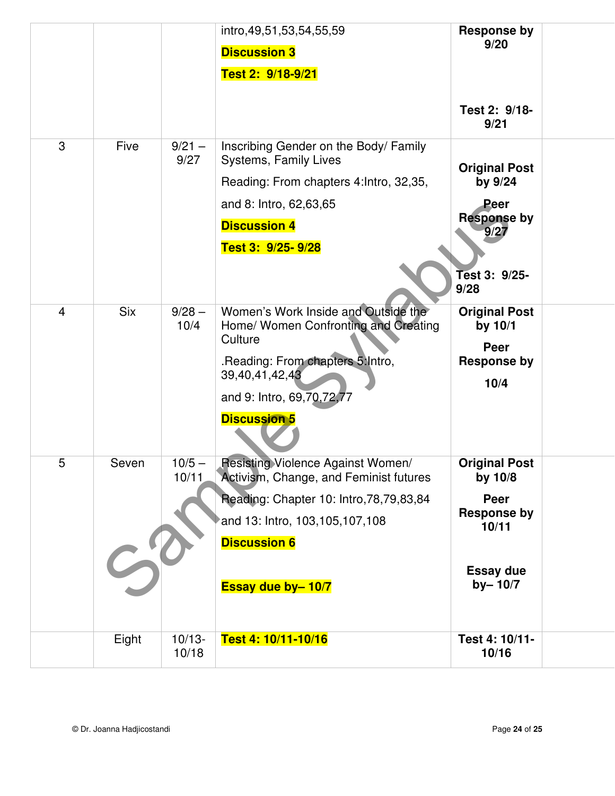|                |             |                  | intro, 49, 51, 53, 54, 55, 59                   | <b>Response by</b>         |  |
|----------------|-------------|------------------|-------------------------------------------------|----------------------------|--|
|                |             |                  | <b>Discussion 3</b>                             | 9/20                       |  |
|                |             |                  | Test 2: 9/18-9/21                               |                            |  |
|                |             |                  |                                                 |                            |  |
|                |             |                  |                                                 | Test 2: 9/18-<br>9/21      |  |
| 3              | <b>Five</b> | $9/21 -$<br>9/27 | Inscribing Gender on the Body/Family            |                            |  |
|                |             |                  | Systems, Family Lives                           | <b>Original Post</b>       |  |
|                |             |                  | Reading: From chapters 4: Intro, 32,35,         | by 9/24                    |  |
|                |             |                  | and 8: Intro, 62,63,65                          | Peer<br><b>Response by</b> |  |
|                |             |                  | <b>Discussion 4</b>                             | 9/27                       |  |
|                |             |                  | Test 3: 9/25-9/28                               |                            |  |
|                |             |                  |                                                 | Test 3: 9/25-              |  |
|                |             |                  |                                                 | 9/28                       |  |
| $\overline{4}$ | <b>Six</b>  | $9/28 -$         | Women's Work Inside and Outside the             | <b>Original Post</b>       |  |
|                |             | 10/4             | Home/ Women Confronting and Creating<br>Culture | by $10/1$                  |  |
|                |             |                  | .Reading: From chapters 5: Intro,               | Peer<br><b>Response by</b> |  |
|                |             |                  | 39,40,41,42,43                                  | 10/4                       |  |
|                |             |                  | and 9: Intro, 69, 70, 72, 77                    |                            |  |
|                |             |                  | <b>Discussion 5</b>                             |                            |  |
| 5              | Seven       | $10/5 -$         | <b>Resisting Violence Against Women/</b>        | <b>Original Post</b>       |  |
|                |             | 10/11            | Activism, Change, and Feminist futures          | by 10/8                    |  |
|                |             |                  | Reading: Chapter 10: Intro, 78, 79, 83, 84      | Peer<br><b>Response by</b> |  |
|                |             |                  | and 13: Intro, 103, 105, 107, 108               | 10/11                      |  |
|                |             |                  | <b>Discussion 6</b>                             |                            |  |
|                |             |                  |                                                 | <b>Essay due</b>           |  |
|                |             |                  | Essay due by-10/7                               | $by - 10/7$                |  |
|                |             |                  |                                                 |                            |  |
|                | Eight       | $10/13 -$        | Test 4: 10/11-10/16                             | Test 4: 10/11-             |  |
|                |             | 10/18            |                                                 | 10/16                      |  |